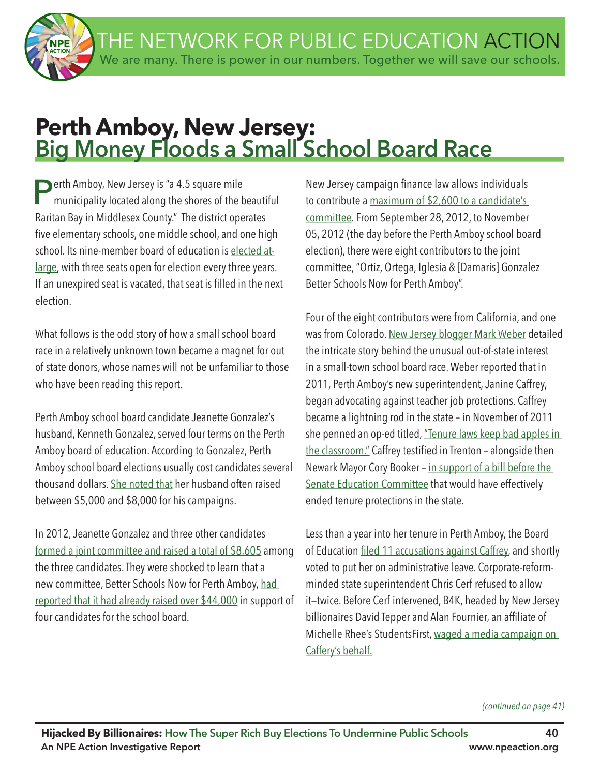THE NETWORK FOR PUBLIC EDUCATION ACTION We are many. There is power in our numbers. Together we will save our schools.

# **Perth Amboy, New Jersey: Big Money Floods a Small School Board Race**

**Perth Amboy, New Jersey is "a 4.5 square mile**<br>municipality located along the shores of the beautiful Raritan Bay in Middlesex County." The district operates five elementary schools, one middle school, and one high school. Its nine-member board of education is elected atlarge, with three seats open for election every three years. If an unexpired seat is vacated, that seat is filled in the next election.

What follows is the odd story of how a small school board race in a relatively unknown town became a magnet for out of state donors, whose names will not be unfamiliar to those who have been reading this report.

Perth Amboy school board candidate Jeanette Gonzalez's husband, Kenneth Gonzalez, served four terms on the Perth Amboy board of education. According to Gonzalez, Perth Amboy school board elections usually cost candidates several thousand dollars. She noted that her husband often raised between \$5,000 and \$8,000 for his campaigns.

In 2012, Jeanette Gonzalez and three other candidates formed a joint committee and raised a total of \$8,605 among the three candidates. They were shocked to learn that a new committee, Better Schools Now for Perth Amboy, had reported that it had already raised over \$44,000 in support of four candidates for the school board.

New Jersey campaign fnance law allows individuals to contribute a maximum of \$2,600 to a candidate's committee. From September 28, 2012, to November 05, 2012 (the day before the Perth Amboy school board election), there were eight contributors to the joint committee, "Ortiz, Ortega, Iglesia & [Damaris] Gonzalez Better Schools Now for Perth Amboy".

Four of the eight contributors were from California, and one was from Colorado. New Jersey blogger Mark Weber detailed the intricate story behind the unusual out-of-state interest in a small-town school board race. Weber reported that in 2011, Perth Amboy's new superintendent, Janine Caffrey, began advocating against teacher job protections. Caffrey became a lightning rod in the state – in November of 2011 she penned an op-ed titled, "Tenure laws keep bad apples in the classroom." Caffrey testified in Trenton - alongside then Newark Mayor Cory Booker – in support of a bill before the Senate Education Committee that would have effectively ended tenure protections in the state.

Less than a year into her tenure in Perth Amboy, the Board of Education filed 11 accusations against Caffrey, and shortly voted to put her on administrative leave. Corporate-reformminded state superintendent Chris Cerf refused to allow it—twice. Before Cerf intervened, B4K, headed by New Jersey billionaires David Tepper and Alan Fournier, an affliate of Michelle Rhee's StudentsFirst, waged a media campaign on Caffery's behalf.

*(continued on page 41)*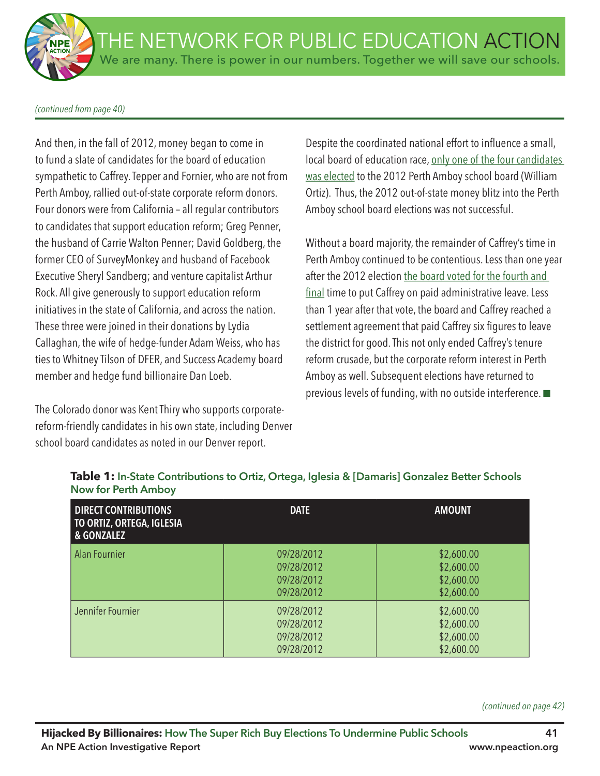### *(continued from page 40)*

And then, in the fall of 2012, money began to come in to fund a slate of candidates for the board of education sympathetic to Caffrey. Tepper and Fornier, who are not from Perth Amboy, rallied out-of-state corporate reform donors. Four donors were from California – all regular contributors to candidates that support education reform; Greg Penner, the husband of Carrie Walton Penner; David Goldberg, the former CEO of SurveyMonkey and husband of Facebook Executive Sheryl Sandberg; and venture capitalist Arthur Rock. All give generously to support education reform initiatives in the state of California, and across the nation. These three were joined in their donations by Lydia Callaghan, the wife of hedge-funder Adam Weiss, who has ties to Whitney Tilson of DFER, and Success Academy board member and hedge fund billionaire Dan Loeb.

The Colorado donor was Kent Thiry who supports corporatereform-friendly candidates in his own state, including Denver school board candidates as noted in our Denver report.

Despite the coordinated national effort to infuence a small, local board of education race, only one of the four candidates was elected to the 2012 Perth Amboy school board (William Ortiz). Thus, the 2012 out-of-state money blitz into the Perth Amboy school board elections was not successful.

Without a board majority, the remainder of Caffrey's time in Perth Amboy continued to be contentious. Less than one year after the 2012 election the board voted for the fourth and final time to put Caffrey on paid administrative leave. Less than 1 year after that vote, the board and Caffrey reached a settlement agreement that paid Caffrey six figures to leave the district for good. This not only ended Caffrey's tenure reform crusade, but the corporate reform interest in Perth Amboy as well. Subsequent elections have returned to previous levels of funding, with no outside interference.  $\blacksquare$ 

| <b>DIRECT CONTRIBUTIONS</b><br>TO ORTIZ, ORTEGA, IGLESIA<br>& GONZALEZ | <b>DATE</b>                                          | <b>AMOUNT</b>                                        |
|------------------------------------------------------------------------|------------------------------------------------------|------------------------------------------------------|
| Alan Fournier                                                          | 09/28/2012<br>09/28/2012<br>09/28/2012<br>09/28/2012 | \$2,600.00<br>\$2,600.00<br>\$2,600.00<br>\$2,600.00 |
| Jennifer Fournier                                                      | 09/28/2012<br>09/28/2012<br>09/28/2012<br>09/28/2012 | \$2,600.00<br>\$2,600.00<br>\$2,600.00<br>\$2,600.00 |

## **Table 1: In-State Contributions to Ortiz, Ortega, Iglesia & [Damaris] Gonzalez Better Schools Now for Perth Amboy**

*(continued on page 42)*